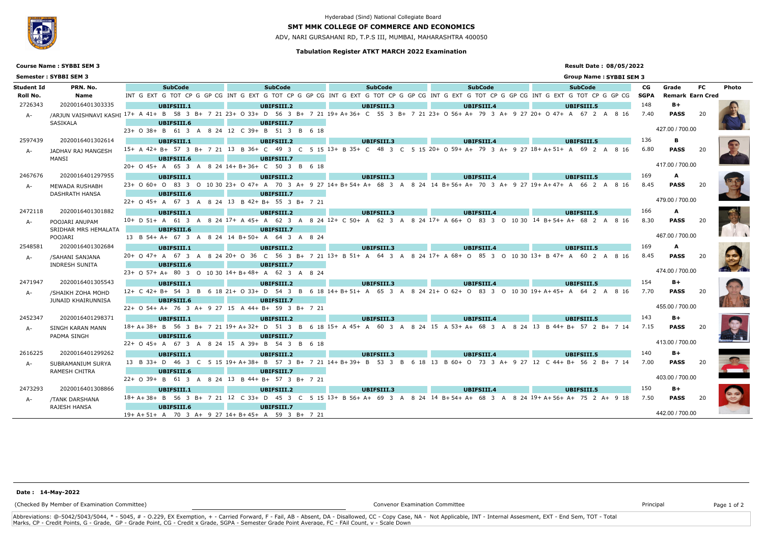### **Tabulation Register ATKT MARCH 2022 Examination**

## **SMT MMK COLLEGE OF COMMERCE AND ECONOMICS**

ADV, NARI GURSAHANI RD, T.P.S III, MUMBAI, MAHARASHTRA 400050

## **Result Date : 08/05/2022**

### **Group Name : SYBBI SEM 3**



**Course Name : SYBBI SEM 3**

# Hyderabad (Sind) National Collegiate Board

#### **Name Student Id PRN. No. 5ubCode** INT EXT TOT CP G GP CG **Roll No.** G G INT G EXT G TOT CP G GP CG INT G EXT G TOT CP G GP CG INT G EXT G TOT CP G GP CG INT G EXT G TOT CP G GP CG **Earn Cred Semester : SYBBI SEM 3 PRN. No. Photo** A- /ARJUN VAISHNAVI KASHI <sup>17+</sup> A 41+ B 58 3 B+ 7 21 23+ O 33+ D 56 3 B+ 7 21 19+ A+36+ C 55 3 B+ 7 21 23+ O 56+ A+ 79 3 A+ 9 27 20+ O 47+ A 67 2 A 8 16 7.40 PASS 20 SASIKALA **UBIFSIII.1 UBIFSIII.2 UBIFSIII.6** 23+ O 38+ B 61 3 A 8 24 12 C 39+ B 51 3 B 6 18 **UBIFSIII.7** 2726343 2020016401303335 148 **B+** JADHAV RAJ MANGESH MANSI **UBIFSIII.1** A- JADHAV RAJ MANGESH 15+A 42+B+57 3 B+721 13 B 36+C 49 3 C 5 15 13+B 35+C 48 3 C 5 15 20+O 59+A+79 3 A+927 18+A+51+A 69 2 A 8 16 6.80 **PASS** 20 **UBIFSIII.2 UBIFSIII.6** 20+ O 45+ A 65 3 A 8 24 14+ B+ 36+ C 50 3 B 6 18 **UBIFSIII.7** 2597439 2020016401302614 136 **B** MEWADA RUSHABH DASHRATH HANSA **UBIFSIII.1** A- MEWADA RUSHABH <sup>23+</sup> 060+ 083 3 010 30 23+ 047+ A 70 3A+ 927 14+B+54+A+ 68 3 A 8 24 14 B+56+A+ 70 3A+ 927 19+A+47+ A 66 2 A 8 16 8.45 **PASS** 20 **UBIFSIII.2 UBIFSIII.6** 22+ O 45+ A 67 3 A 8 24 13 B 42+ B+ 55 3 B+ 7 21 **UBIFSIII.7** 2467676 2020016401297955 **IMBIESTIT.1 BEESTIT.2 BEESTIT.3 BEESTIT.3 BEESTIT.4 BEESTIT.5 169 A**

| <b>SubCode</b>                     |  |  |  | <b>SubCode</b>    |  |  |  | <b>SubCode</b>                                                                                        |  |  |  | <b>SubCode</b> |                                                                                                   | CG          | Grade           | FC.                     | <b>Photo</b> |
|------------------------------------|--|--|--|-------------------|--|--|--|-------------------------------------------------------------------------------------------------------|--|--|--|----------------|---------------------------------------------------------------------------------------------------|-------------|-----------------|-------------------------|--------------|
|                                    |  |  |  |                   |  |  |  |                                                                                                       |  |  |  |                | G TOT CP G GP CG INT G EXT G TOT CP G GP CG INT G EXT G TOT CP G GP CG INT G EXT G TOT CP G GP CG | <b>SGPA</b> |                 | <b>Remark Earn Cred</b> |              |
| <b>JBIFSIII.2</b>                  |  |  |  | UBIFSIII.3        |  |  |  | UBIFSIII.4                                                                                            |  |  |  | UBIFSIII.5     |                                                                                                   | 148         | $B+$            |                         |              |
|                                    |  |  |  |                   |  |  |  | D 56 3 B+ 7 21 19+ A+36+ C 55 3 B+ 7 21 23+ O 56+ A+ 79 3 A+ 9 27 20+ O 47+ A 67 2 A 8 16             |  |  |  |                |                                                                                                   | 7.40        | <b>PASS</b>     | 20                      |              |
| <b>JBIFSIII.7</b>                  |  |  |  |                   |  |  |  |                                                                                                       |  |  |  |                |                                                                                                   |             |                 |                         |              |
| B 51 3 B 6 18                      |  |  |  |                   |  |  |  |                                                                                                       |  |  |  |                |                                                                                                   |             | 427.00 / 700.00 |                         |              |
| <b>JBIFSIII.2</b>                  |  |  |  | UBIFSIII.3        |  |  |  | UBIFSIII.4                                                                                            |  |  |  | UBIFSIII.5     |                                                                                                   | 136         | в               |                         |              |
|                                    |  |  |  |                   |  |  |  | C 49 3 C 5 15 13+ B 35+ C 48 3 C 5 15 20+ O 59+ A+ 79 3 A+ 9 27 18+ A+ 51+ A 69 2 A 8 16              |  |  |  |                |                                                                                                   | 6.80        | <b>PASS</b>     | 20                      |              |
| <b>JBIFSIII.7</b>                  |  |  |  |                   |  |  |  |                                                                                                       |  |  |  |                |                                                                                                   |             |                 |                         |              |
| C 50 3 B 6 18                      |  |  |  |                   |  |  |  |                                                                                                       |  |  |  |                |                                                                                                   |             | 417.00 / 700.00 |                         |              |
| <b>JBIFSIII.2</b>                  |  |  |  | <b>UBIFSIII.3</b> |  |  |  | UBIFSIII.4                                                                                            |  |  |  | UBIFSIII.5     |                                                                                                   | 169         | A               |                         |              |
|                                    |  |  |  |                   |  |  |  | A 70 3 A+ 9 27 14+ B+ 54+ A+ 68 3 A 8 24 14 B+ 56+ A+ 70 3 A+ 9 27 19+ A+ 47+ A 66 2 A 8 16           |  |  |  |                |                                                                                                   | 8.45        | <b>PASS</b>     | 20                      |              |
| <b>JBIFSIII.7</b>                  |  |  |  |                   |  |  |  |                                                                                                       |  |  |  |                |                                                                                                   |             |                 |                         |              |
| B+ 55 3 B+ 7 21                    |  |  |  |                   |  |  |  |                                                                                                       |  |  |  |                |                                                                                                   |             | 479.00 / 700.00 |                         |              |
| <b>JBIFSIII.2</b>                  |  |  |  | UBIFSIII.3        |  |  |  | UBIFSIII.4                                                                                            |  |  |  | UBIFSIII.5     |                                                                                                   | 166         | A               |                         |              |
|                                    |  |  |  |                   |  |  |  | A 62 3 A 8 24 12+ C 50+ A 62 3 A 8 24 17+ A 66+ O 83 3 O 10 30 14 B+ 54+ A+ 68 2 A 8 16               |  |  |  |                |                                                                                                   | 8.30        | <b>PASS</b>     | 20                      |              |
| <b>JBIFSIII.7</b>                  |  |  |  |                   |  |  |  |                                                                                                       |  |  |  |                |                                                                                                   |             |                 |                         |              |
| A 64 3 A 8 24                      |  |  |  |                   |  |  |  |                                                                                                       |  |  |  |                |                                                                                                   |             | 467.00 / 700.00 |                         |              |
|                                    |  |  |  |                   |  |  |  |                                                                                                       |  |  |  |                |                                                                                                   | 169         | A               |                         |              |
| <b>JBIFSIII.2</b>                  |  |  |  | UBIFSIII.3        |  |  |  | UBIFSIII.4<br>C 56 3 B+ 7 21 13+ B 51+ A 64 3 A 8 24 17+ A 68+ O 85 3 O 10 30 13+ B 47+ A 60 2 A 8 16 |  |  |  | UBIFSIII.5     |                                                                                                   |             |                 |                         |              |
|                                    |  |  |  |                   |  |  |  |                                                                                                       |  |  |  |                |                                                                                                   | 8.45        | <b>PASS</b>     | 20                      |              |
| <b>JBIFSIII.7</b><br>A 62 3 A 8 24 |  |  |  |                   |  |  |  |                                                                                                       |  |  |  |                |                                                                                                   |             | 474.00 / 700.00 |                         |              |
|                                    |  |  |  |                   |  |  |  |                                                                                                       |  |  |  |                |                                                                                                   |             |                 |                         |              |
| <b>JBIFSIII.2</b>                  |  |  |  | UBIFSIII.3        |  |  |  | UBIFSIII.4                                                                                            |  |  |  | UBIFSIII.5     |                                                                                                   | 154         | B+              |                         |              |
|                                    |  |  |  |                   |  |  |  | D 54 3 B 6 18 14 + B + 51 + A 65 3 A 8 24 21 + O 62 + O 83 3 O 10 30 19 + A + 45 + A 64 2 A 8 16      |  |  |  |                |                                                                                                   | 7.70        | <b>PASS</b>     | 20                      |              |
| <b>JBIFSIII.7</b>                  |  |  |  |                   |  |  |  |                                                                                                       |  |  |  |                |                                                                                                   |             | 455.00 / 700.00 |                         |              |
| B+ 59 3 B+ 7 21                    |  |  |  |                   |  |  |  |                                                                                                       |  |  |  |                |                                                                                                   |             |                 |                         |              |
| <b>JBIFSIII.2</b>                  |  |  |  | UBIFSIII.3        |  |  |  | UBIFSIII.4                                                                                            |  |  |  | UBIFSIII.5     |                                                                                                   | 143         | $B+$            |                         |              |
|                                    |  |  |  |                   |  |  |  | D 51 3 B 6 18 15+ A 45+ A 60 3 A 8 24 15 A 53+ A+ 68 3 A 8 24 13 B 44+ B+ 57 2 B+ 7 14                |  |  |  |                |                                                                                                   | 7.15        | <b>PASS</b>     | 20                      |              |
| <b>JBIFSIII.7</b>                  |  |  |  |                   |  |  |  |                                                                                                       |  |  |  |                |                                                                                                   |             | 413.00 / 700.00 |                         |              |
| B 54 3 B 6 18                      |  |  |  |                   |  |  |  |                                                                                                       |  |  |  |                |                                                                                                   |             |                 |                         |              |
| <b>JBIFSIII.2</b>                  |  |  |  | UBIFSIII.3        |  |  |  | UBIFSIII.4                                                                                            |  |  |  | UBIFSIII.5     |                                                                                                   | 140         | $B+$            |                         |              |
|                                    |  |  |  |                   |  |  |  | B 57 3 B+ 7 21 14+ B+ 39+ B 53 3 B 6 18 13 B 60+ O 73 3 A+ 9 27 12 C 44+ B+ 56 2 B+ 7 14              |  |  |  |                |                                                                                                   | 7.00        | <b>PASS</b>     | 20                      |              |
| <b>JBIFSIII.7</b>                  |  |  |  |                   |  |  |  |                                                                                                       |  |  |  |                |                                                                                                   |             |                 |                         |              |
| B+ 57 3 B+ 7 21                    |  |  |  |                   |  |  |  |                                                                                                       |  |  |  |                |                                                                                                   |             | 403.00 / 700.00 |                         |              |
| <b>JBIFSIII.2</b>                  |  |  |  | UBIFSIII.3        |  |  |  | UBIFSIII.4                                                                                            |  |  |  | UBIFSIII.5     |                                                                                                   | 150         | B+              |                         |              |
|                                    |  |  |  |                   |  |  |  | D 45 3 C 5 15 13+ B 56+ A+ 69 3 A 8 24 14 B+54+ A+ 68 3 A 8 24 19+ A+56+ A+ 75 2 A+ 9 18              |  |  |  |                |                                                                                                   | 7.50        | <b>PASS</b>     | 20                      |              |
| <b>JBIFSIII.7</b>                  |  |  |  |                   |  |  |  |                                                                                                       |  |  |  |                |                                                                                                   |             |                 |                         |              |
| A 59 3 R + 7 21                    |  |  |  |                   |  |  |  |                                                                                                       |  |  |  |                |                                                                                                   |             | 442.00 / 700.00 |                         |              |

Abbreviations: @-5042/5043/5044, \* - 5045, # - O.229, EX Exemption, + - Carried Forward, F - Fail, AB - Absent, DA - Disallowed, CC - Copy Case, NA - Not Applicable, INT - Internal Assesment, EXT - End Sem, TOT - Total Marks, CP - Credit Points, G - Grade, GP - Grade Point, CG - Credit x Grade, SGPA - Semester Grade Point Average, FC - FAil Count, v - Scale Down

| 2472118 | 2020016401301882          | UBIFSIII.1 |                              |                   |                |      | <b>UBIFSIII.2</b>                                                                                |                   |               |                |  | <b>UBIFSIII.3</b> |                                 |                                                   |  |      | UBIFSIII.4              |       |            |              |       | <b>UBIFSIII.5</b> |  |                                      |  |                                                           | 166  | A               |    |
|---------|---------------------------|------------|------------------------------|-------------------|----------------|------|--------------------------------------------------------------------------------------------------|-------------------|---------------|----------------|--|-------------------|---------------------------------|---------------------------------------------------|--|------|-------------------------|-------|------------|--------------|-------|-------------------|--|--------------------------------------|--|-----------------------------------------------------------|------|-----------------|----|
| A-      | POOJARI ANUPAM            |            | $10+ D 51+ A 61 3 A$         |                   |                | 8 24 | $17+$ A 45+                                                                                      |                   | A 62 3        | Δ              |  |                   |                                 | 8 24 12 + C 50 + A 62 3 A                         |  |      | 8 24 17 + A 66 + O 83 3 |       |            | <u>റ</u>     | 10.30 |                   |  | $14 B+54+A+68$ 2                     |  | 816                                                       | 8.30 | <b>PASS</b>     |    |
|         | SRIDHAR MRS HEMALATA      |            |                              | UBIFSIII.6        |                |      |                                                                                                  | <b>UBIFSIII.7</b> |               |                |  |                   |                                 |                                                   |  |      |                         |       |            |              |       |                   |  |                                      |  |                                                           |      |                 |    |
|         | POOJARI                   |            | 13 B 54+ A+ 67 3 A           |                   |                |      | 8 24 14 B+50+ A 64 3 A 8 24                                                                      |                   |               |                |  |                   |                                 |                                                   |  |      |                         |       |            |              |       |                   |  |                                      |  |                                                           |      | 467.00 / 700.00 |    |
| 2548581 | 2020016401302684          |            |                              | <b>UBIFSIII.1</b> |                |      |                                                                                                  | UBIFSIII.2        |               |                |  |                   |                                 | UBIFSIII.3                                        |  |      |                         |       | UBIFSIII.4 |              |       |                   |  | <b>UBIFSIII.5</b>                    |  |                                                           | 169  | A               |    |
| А-      | /SAHANI SANJANA           |            | $20+$ O 47+ A 67 3           |                   |                |      | $8, 24, 20 + 0, 36$                                                                              |                   |               |                |  |                   |                                 | $C$ 56 3 B + 7 21 13 + B 51 + A 64 3 A            |  |      |                         |       |            |              |       |                   |  |                                      |  | 8 24 17 + A 68 + O 85 3 O 10 30 13 + B 47 + A 60 2 A 8 16 | 8.45 | <b>PASS</b>     |    |
|         | <b>INDRESH SUNITA</b>     |            |                              | <b>UBIFSIII.6</b> |                |      |                                                                                                  | <b>UBIFSIII.7</b> |               |                |  |                   |                                 |                                                   |  |      |                         |       |            |              |       |                   |  |                                      |  |                                                           |      |                 |    |
|         |                           |            |                              |                   |                |      | $23+$ O 57+ A+ 80 3 O 10 30 14+ B+ 48+                                                           |                   | A 62 3 A 8 24 |                |  |                   |                                 |                                                   |  |      |                         |       |            |              |       |                   |  |                                      |  |                                                           |      | 474.00 / 700.00 |    |
| 2471947 | 2020016401305543          |            |                              | UBIFSIII.1        |                |      |                                                                                                  | <b>UBIFSIII.2</b> |               |                |  |                   |                                 | UBIFSIII.3                                        |  |      |                         |       | UBIFSIII.4 |              |       |                   |  | UBIFSIII.5                           |  |                                                           | 154  | $B+$            |    |
| A-      | /SHAIKH ZOHA MOHD         |            | $12+ C$ 42+ B+ 54 3          |                   | $\overline{B}$ |      | 6 18 21+ O 33+ D 54 3 B 6 18 14+ B+ 51+ A 65 3 A 8 24 21+ O 62+ O 83 3 O 10 30 19+ A+ 45+ A 64 2 |                   |               |                |  |                   |                                 |                                                   |  |      |                         |       |            |              |       |                   |  |                                      |  | A 8 16                                                    | 7.70 | <b>PASS</b>     | 20 |
|         | <b>JUNAID KHAIRUNNISA</b> |            |                              | UBIFSIII.6        |                |      |                                                                                                  | UBIFSIII.7        |               |                |  |                   |                                 |                                                   |  |      |                         |       |            |              |       |                   |  |                                      |  |                                                           |      |                 |    |
|         |                           |            |                              |                   |                |      | 22+ 0 54+ A+ 76 3 A+ 9 27 15 A 44+ B+ 59 3 B+ 7 21                                               |                   |               |                |  |                   |                                 |                                                   |  |      |                         |       |            |              |       |                   |  |                                      |  |                                                           |      | 455.00 / 700.00 |    |
| 2452347 | 2020016401298371          |            |                              | UBIFSIII.1        |                |      |                                                                                                  | UBIFSIII.2        |               |                |  |                   |                                 | <b>UBIFSIII.3</b>                                 |  |      |                         |       | UBIFSIII.4 |              |       |                   |  | <b>UBIFSIII.5</b>                    |  |                                                           | 143  | $B+$            |    |
| A-      | SINGH KARAN MANN          |            |                              |                   |                |      | $18+ A+ 38+ B$ 56 3 B + 7 21 19 + A + 32 + D 51 3                                                |                   |               | $\overline{B}$ |  |                   |                                 | 6 18 15 + A 45 + A 60 3 A 8 24 15 A 53 + A + 68 3 |  |      |                         |       |            |              | 8 24  | 13                |  | R 44+ R+ 57 2 R+ 7 14                |  |                                                           | 7.15 | <b>PASS</b>     | 20 |
|         | PADMA SINGH               |            |                              | UBIFSIII.6        |                |      |                                                                                                  | UBIFSIII.7        |               |                |  |                   |                                 |                                                   |  |      |                         |       |            |              |       |                   |  |                                      |  |                                                           |      |                 |    |
|         |                           |            |                              |                   |                |      | 22+ 0 45+ A 67 3 A 8 24 15 A 39+ B 54 3 B 6 18                                                   |                   |               |                |  |                   |                                 |                                                   |  |      |                         |       |            |              |       |                   |  |                                      |  |                                                           |      | 413.00 / 700.00 |    |
| 2616225 | 2020016401299262          |            |                              | UBIFSIII.1        |                |      |                                                                                                  | UBIFSIII.2        |               |                |  |                   |                                 | <b>UBIFSIII.3</b>                                 |  |      |                         |       | UBIFSIII.4 |              |       |                   |  | <b>UBIFSIII.5</b>                    |  |                                                           | 140  | $B+$            |    |
|         |                           |            | 13 B 33+ D 46 3              |                   |                |      | $19+ A+ 38+$                                                                                     |                   |               |                |  |                   | B 57 3 B + 7 21 14 + B + 39 + B | 53 3                                              |  | 6 18 | -13                     | B 60+ | - 73<br>റ  | $3 \Delta +$ | 9 27  | 12                |  | $C$ 44+ B+ 56 2 B+                   |  | 7 14                                                      | 7.00 |                 |    |
| А-      | SUBRAMANIUM SURYA         |            |                              |                   |                | -15  |                                                                                                  |                   |               |                |  |                   |                                 |                                                   |  |      |                         |       |            |              |       |                   |  |                                      |  |                                                           |      | <b>PASS</b>     |    |
|         | RAMESH CHITRA             |            |                              | UBIFSIII.6        |                |      |                                                                                                  | <b>UBIFSIII.7</b> |               |                |  |                   |                                 |                                                   |  |      |                         |       |            |              |       |                   |  |                                      |  |                                                           |      | 403.00 / 700.00 |    |
|         |                           |            | $22+ 039+ B613 A$            |                   |                |      | 8 24 13 B 44+ B+ 57 3 B+ 7 21                                                                    |                   |               |                |  |                   |                                 |                                                   |  |      |                         |       |            |              |       |                   |  |                                      |  |                                                           |      |                 |    |
| 2473293 | 2020016401308866          |            |                              | UBIFSIII.1        |                |      |                                                                                                  | <b>UBIFSIII.2</b> |               |                |  |                   |                                 | <b>UBIFSIII.3</b>                                 |  |      |                         |       | UBIFSIII.4 |              |       |                   |  | <b>UBIFSIII.5</b>                    |  |                                                           | 150  | $B+$            |    |
| A-      | <b>/TANK DARSHANA</b>     |            | $18+ A+ 38+ B$ 56 3 B + 7 21 |                   |                |      | 12 C 33+ D 45 3 C 5 15 13+ B 56+ A+ 69 3                                                         |                   |               |                |  |                   |                                 |                                                   |  | 824  | $14 B+54+A+68$          |       |            | - २          |       |                   |  | 8 24 19 + A + 56 + A + 75 2 A + 9 18 |  |                                                           | 7.50 | <b>PASS</b>     |    |
|         |                           |            |                              |                   |                |      |                                                                                                  |                   |               |                |  |                   |                                 |                                                   |  |      |                         |       |            |              |       |                   |  |                                      |  |                                                           |      |                 |    |

RAJESH HANSA **UBIFSIII.6 Contract Contract UBIFSIII.7** 19+ A+ 51+ A 70 3 A+ 9 27 14+ B+ 45+ A 59 3 B+ 7 21

(Checked By Member of Examination Committee) Convenor Examination Committee Principal Page 1 of 2

#### **Date : 14-May-2022**